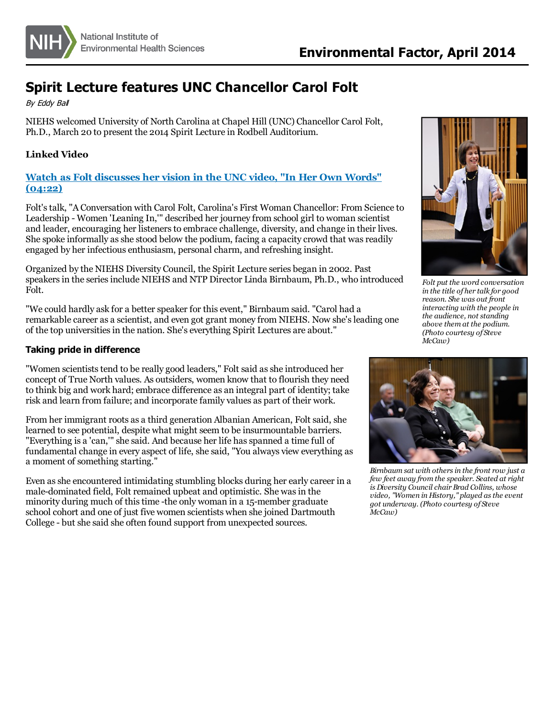

# **Spirit Lecture features UNC Chancellor Carol Folt**

By Eddy Bal

NIEHS welcomed University of North Carolina at Chapel Hill (UNC) Chancellor Carol Folt, Ph.D., March 20 to present the 2014 Spirit Lecture in Rodbell Auditorium.

# **Linked Video**

## **Watch as Folt [discusses](http://www.youtube.com/watch?v=XbtQcwjCFMA) her vision in the UNC video, "In Her Own Words" (04:22)**

Folt'stalk, "A Conversation with Carol Folt, Carolina's First Woman Chancellor: From Science to Leadership - Women 'Leaning In,'" described her journey from school girl to woman scientist and leader, encouraging her listenersto embrace challenge, diversity, and change in their lives. She spoke informally as she stood below the podium, facing a capacity crowd that was readily engaged by her infectious enthusiasm, personal charm, and refreshing insight.

Organized by the NIEHS Diversity Council, the Spirit Lecture series began in 2002. Past speakersin the seriesinclude NIEHS and NTP Director Linda Birnbaum, Ph.D., who introduced Folt.

"We could hardly ask for a better speaker for this event," Birnbaum said. "Carol had a remarkable career as a scientist, and even got grant money from NIEHS. Now she'sleading one of the top universitiesin the nation. She's everything Spirit Lectures are about."

### **Taking pride in difference**

"Women scientists tend to be really good leaders," Folt said as she introduced her concept of True North values. As outsiders, women know that to flourish they need to think big and work hard; embrace difference as an integral part of identity; take risk and learn from failure; and incorporate family values as part of their work.

From her immigrant roots as a third generation Albanian American, Folt said, she learned to see potential, despite what might seem to be insurmountable barriers. "Everything is a 'can," she said. And because her life has spanned a time full of fundamental change in every aspect of life, she said, "You always view everything as a moment of something starting."

Even asshe encountered intimidating stumbling blocks during her early career in a male-dominated field, Folt remained upbeat and optimistic. She was in the minority during much of this time -the only woman in a 15-member graduate school cohort and one of just five women scientists when she joined Dartmouth College - but she said she often found support from unexpected sources.



*Folt put the word conversation in the title of her talk for good reason. She was out front interacting with the people in the audience, not standing above them at the podium. (Photo courtesy of Steve McCaw)*



*Birnbaum sat with othersin the front row just a few feet away from the speaker. Seated at right is Diversity Councilchair Brad Collins, whose video, "Women in History," played asthe event got underway. (Photo courtesy of Steve McCaw)*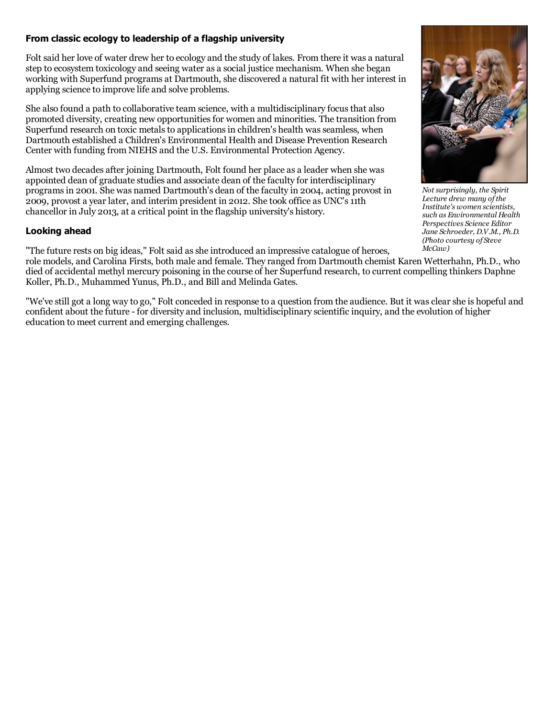#### **From classic ecology to leadership of a flagship university**

Folt said her love of water drew her to ecology and the study of lakes. From there it was a natural step to ecosystem toxicology and seeing water as a social justice mechanism. When she began working with Superfund programs at Dartmouth, she discovered a natural fit with her interest in applying science to improve life and solve problems.

She also found a path to collaborative team science, with a multidisciplinary focus that also promoted diversity, creating new opportunitiesfor women and minorities. The transition from Superfund research on toxic metals to applications in children's health was seamless, when Dartmouth established a Children's Environmental Health and Disease Prevention Research Center with funding from NIEHS and the U.S. Environmental Protection Agency.

Almost two decades after joining Dartmouth, Folt found her place as a leader when she was appointed dean of graduate studies and associate dean of the faculty for interdisciplinary programsin 2001. She was named Dartmouth's dean of the faculty in 2004, acting provost in 2009, provost a year later, and interim president in 2012. She took office as UNC's11th chancellor in July 2013, at a critical point in the flagship university's history.

#### **Looking ahead**

"The future rests on big ideas," Folt said asshe introduced an impressive catalogue of heroes,

role models, and Carolina Firsts, both male and female. They ranged from Dartmouth chemist Karen Wetterhahn, Ph.D., who died of accidental methyl mercury poisoning in the course of her Superfund research, to current compelling thinkers Daphne Koller, Ph.D., Muhammed Yunus, Ph.D., and Bill and Melinda Gates.

"We've still got a long way to go," Folt conceded in response to a question from the audience. But it wasclear she is hopeful and confident about the future - for diversity and inclusion, multidisciplinary scientific inquiry, and the evolution of higher education to meet current and emerging challenges.



*Not surprisingly, the Spirit Lecture drew many ofthe Institute's women scientists, such as Environmental Health Perspectives Science Editor Jane Schroeder, D.V.M., Ph.D. (Photo courtesy of Steve McCaw)*